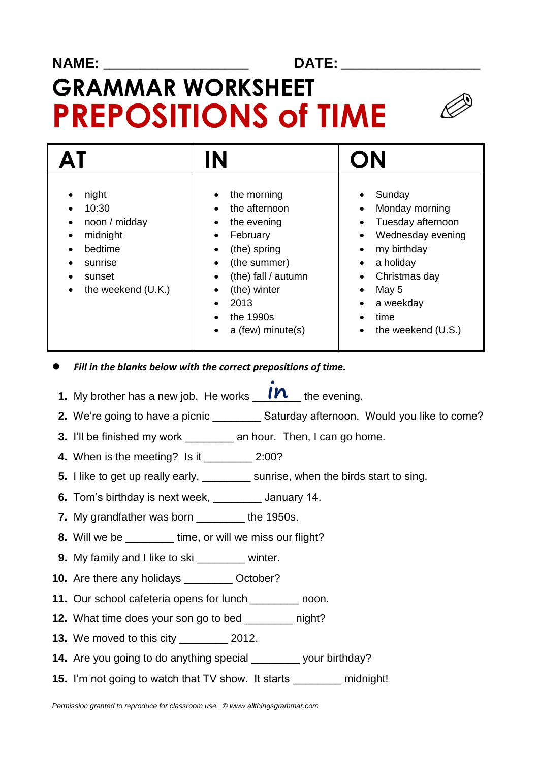## **NAME: \_\_\_\_\_\_\_\_\_\_\_\_\_\_\_\_\_\_\_\_\_\_\_\_ DATE: \_\_\_\_\_\_\_\_\_\_\_\_\_\_\_\_\_\_\_\_\_\_\_**

## **GRAMMAR WORKSHEET PREPOSITIONS of TIME**

|                                                                                                                                                                   | IN                                                                                                                                                                                                                                                                      | ON                                                                                                                                                                                                                                                                                                                 |
|-------------------------------------------------------------------------------------------------------------------------------------------------------------------|-------------------------------------------------------------------------------------------------------------------------------------------------------------------------------------------------------------------------------------------------------------------------|--------------------------------------------------------------------------------------------------------------------------------------------------------------------------------------------------------------------------------------------------------------------------------------------------------------------|
| night<br>٠<br>10:30<br>$\bullet$<br>noon / midday<br>٠<br>midnight<br>٠<br>bedtime<br>$\bullet$<br>sunrise<br>$\bullet$<br>sunset<br>٠<br>the weekend (U.K.)<br>٠ | the morning<br>٠<br>the afternoon<br>$\bullet$<br>the evening<br>٠<br>February<br>$\bullet$<br>(the) spring<br>$\bullet$<br>(the summer)<br>٠<br>(the) fall / autumn<br>$\bullet$<br>(the) winter<br>٠<br>2013<br>$\bullet$<br>the 1990s<br>٠<br>a (few) minute(s)<br>٠ | Sunday<br>$\bullet$<br>Monday morning<br>$\bullet$<br>Tuesday afternoon<br>$\bullet$<br>Wednesday evening<br>$\bullet$<br>my birthday<br>$\bullet$<br>a holiday<br>$\bullet$<br>Christmas day<br>$\bullet$<br>May 5<br>$\bullet$<br>a weekday<br>$\bullet$<br>time<br>$\bullet$<br>the weekend (U.S.)<br>$\bullet$ |

- *Fill in the blanks below with the correct prepositions of time.*
- **1.** My brother has a new job. He works **IN** the evening.
- **2.** We're going to have a picnic \_\_\_\_\_\_\_\_\_\_ Saturday afternoon. Would you like to come?
- **3.** I'll be finished my work \_\_\_\_\_\_\_\_ an hour. Then, I can go home.
- **4.** When is the meeting? Is it \_\_\_\_\_\_\_\_ 2:00?
- **5.** I like to get up really early, \_\_\_\_\_\_\_\_ sunrise, when the birds start to sing.
- **6.** Tom's birthday is next week, \_\_\_\_\_\_\_\_ January 14.
- **7.** My grandfather was born \_\_\_\_\_\_\_\_ the 1950s.
- **8.** Will we be \_\_\_\_\_\_\_\_ time, or will we miss our flight?
- **9.** My family and I like to ski **winter.**
- **10.** Are there any holidays **C**otober?
- **11.** Our school cafeteria opens for lunch **contact** noon.
- **12.** What time does your son go to bed **paint** night?
- **13.** We moved to this city \_\_\_\_\_\_\_\_ 2012.
- **14.** Are you going to do anything special \_\_\_\_\_\_\_\_ your birthday?
- **15.** I'm not going to watch that TV show. It starts midnight!